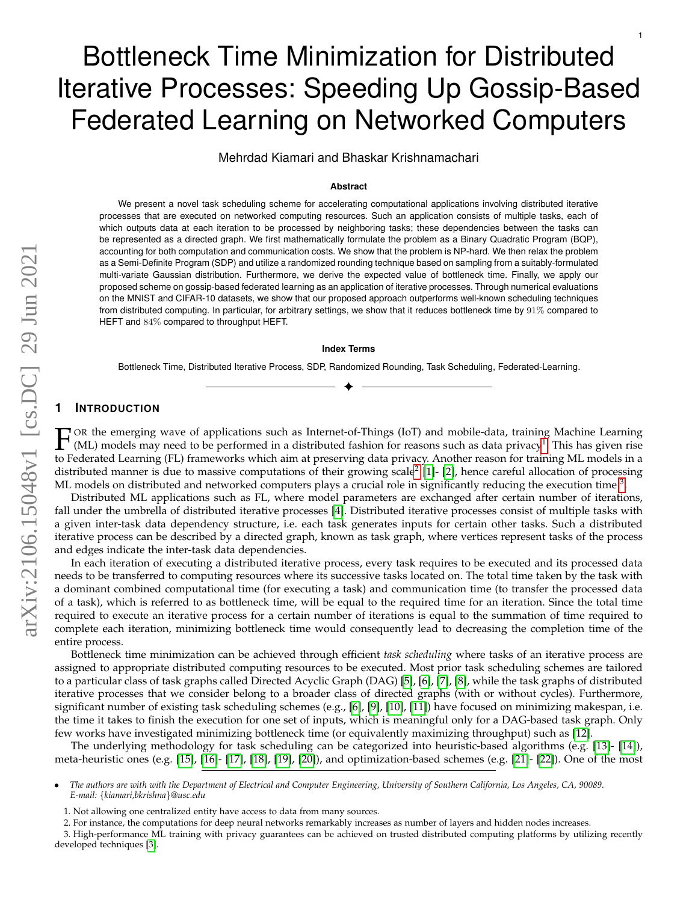# Bottleneck Time Minimization for Distributed Iterative Processes: Speeding Up Gossip-Based Federated Learning on Networked Computers

1

Mehrdad Kiamari and Bhaskar Krishnamachari

# **Abstract**

We present a novel task scheduling scheme for accelerating computational applications involving distributed iterative processes that are executed on networked computing resources. Such an application consists of multiple tasks, each of which outputs data at each iteration to be processed by neighboring tasks; these dependencies between the tasks can be represented as a directed graph. We first mathematically formulate the problem as a Binary Quadratic Program (BQP), accounting for both computation and communication costs. We show that the problem is NP-hard. We then relax the problem as a Semi-Definite Program (SDP) and utilize a randomized rounding technique based on sampling from a suitably-formulated multi-variate Gaussian distribution. Furthermore, we derive the expected value of bottleneck time. Finally, we apply our proposed scheme on gossip-based federated learning as an application of iterative processes. Through numerical evaluations on the MNIST and CIFAR-10 datasets, we show that our proposed approach outperforms well-known scheduling techniques from distributed computing. In particular, for arbitrary settings, we show that it reduces bottleneck time by 91% compared to HEFT and 84% compared to throughput HEFT.

#### **Index Terms**

Bottleneck Time, Distributed Iterative Process, SDP, Randomized Rounding, Task Scheduling, Federated-Learning. ✦

# **1 INTRODUCTION**

 $\mathbb{F}$ OR the emerging wave of applications such as Internet-of-Things (IoT) and mobile-data, training Machine Learning (ML) models may need to be performed in a distributed fashion for reasons such as data privacy<sup>[1](#page-0-0)</sup>. This has given rise to Federated Learning (FL) frameworks which aim at preserving data privacy. Another reason for training ML models in a distributed manner is due to massive computations of their growing scale<sup>[2](#page-0-1)</sup> [\[1\]](#page-9-0)- [\[2\]](#page-9-1), hence careful allocation of processing ML models on distributed and networked computers plays a crucial role in significantly reducing the execution time  $^3$  $^3$ .

Distributed ML applications such as FL, where model parameters are exchanged after certain number of iterations, fall under the umbrella of distributed iterative processes [\[4\]](#page-9-2). Distributed iterative processes consist of multiple tasks with a given inter-task data dependency structure, i.e. each task generates inputs for certain other tasks. Such a distributed iterative process can be described by a directed graph, known as task graph, where vertices represent tasks of the process and edges indicate the inter-task data dependencies.

In each iteration of executing a distributed iterative process, every task requires to be executed and its processed data needs to be transferred to computing resources where its successive tasks located on. The total time taken by the task with a dominant combined computational time (for executing a task) and communication time (to transfer the processed data of a task), which is referred to as bottleneck time, will be equal to the required time for an iteration. Since the total time required to execute an iterative process for a certain number of iterations is equal to the summation of time required to complete each iteration, minimizing bottleneck time would consequently lead to decreasing the completion time of the entire process.

Bottleneck time minimization can be achieved through efficient *task scheduling* where tasks of an iterative process are assigned to appropriate distributed computing resources to be executed. Most prior task scheduling schemes are tailored to a particular class of task graphs called Directed Acyclic Graph (DAG) [\[5\]](#page-9-3), [\[6\]](#page-9-4), [\[7\]](#page-9-5), [\[8\]](#page-9-6), while the task graphs of distributed iterative processes that we consider belong to a broader class of directed graphs (with or without cycles). Furthermore, significant number of existing task scheduling schemes (e.g., [\[6\]](#page-9-4), [\[9\]](#page-9-7), [\[10\]](#page-9-8), [\[11\]](#page-9-9)) have focused on minimizing makespan, i.e. the time it takes to finish the execution for one set of inputs, which is meaningful only for a DAG-based task graph. Only few works have investigated minimizing bottleneck time (or equivalently maximizing throughput) such as [\[12\]](#page-9-10).

The underlying methodology for task scheduling can be categorized into heuristic-based algorithms (e.g. [\[13\]](#page-10-0)- [\[14\]](#page-10-1)), meta-heuristic ones (e.g. [\[15\]](#page-10-2), [\[16\]](#page-10-3)- [\[17\]](#page-10-4), [\[18\]](#page-10-5), [\[19\]](#page-10-6), [\[20\]](#page-10-7)), and optimization-based schemes (e.g. [\[21\]](#page-10-8)- [\[22\]](#page-10-9)). One of the most

<sup>•</sup> *The authors are with with the Department of Electrical and Computer Engineering, University of Southern California, Los Angeles, CA, 90089. E-mail:* {*kiamari,bkrishna*}*@usc.edu*

<span id="page-0-1"></span><span id="page-0-0"></span><sup>1.</sup> Not allowing one centralized entity have access to data from many sources.

<span id="page-0-2"></span><sup>2.</sup> For instance, the computations for deep neural networks remarkably increases as number of layers and hidden nodes increases.

<sup>3.</sup> High-performance ML training with privacy guarantees can be achieved on trusted distributed computing platforms by utilizing recently developed techniques [\[3\]](#page-9-11).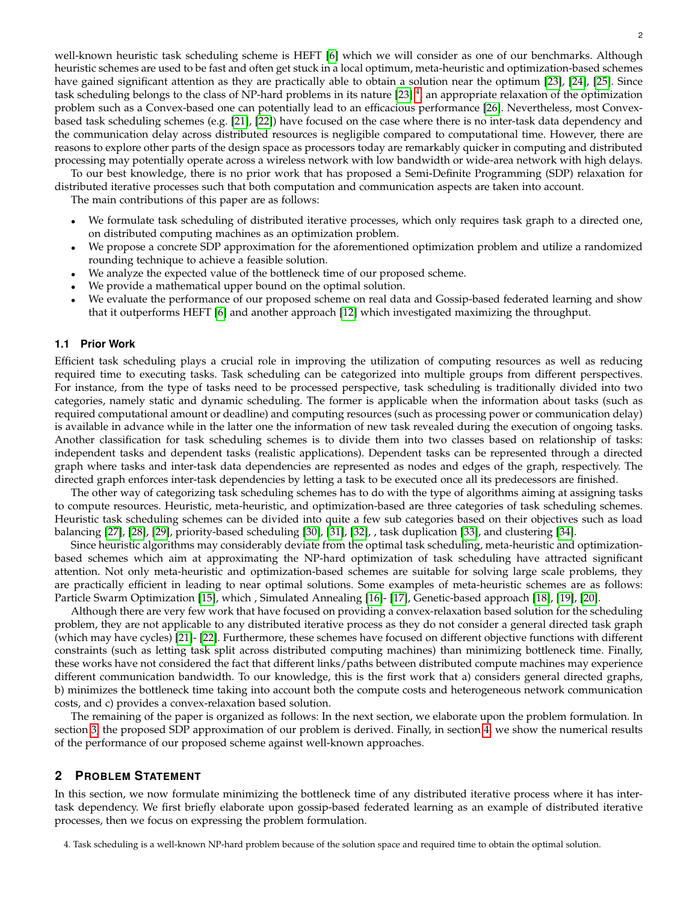well-known heuristic task scheduling scheme is HEFT [\[6\]](#page-9-4) which we will consider as one of our benchmarks. Although heuristic schemes are used to be fast and often get stuck in a local optimum, meta-heuristic and optimization-based schemes have gained significant attention as they are practically able to obtain a solution near the optimum [\[23\]](#page-10-10), [\[24\]](#page-10-11), [\[25\]](#page-10-12). Since task scheduling belongs to the class of NP-hard problems in its nature [\[23\]](#page-10-10)  $^4$  $^4$ , an appropriate relaxation of the optimization problem such as a Convex-based one can potentially lead to an efficacious performance [\[26\]](#page-10-13). Nevertheless, most Convexbased task scheduling schemes (e.g. [\[21\]](#page-10-8), [\[22\]](#page-10-9)) have focused on the case where there is no inter-task data dependency and the communication delay across distributed resources is negligible compared to computational time. However, there are reasons to explore other parts of the design space as processors today are remarkably quicker in computing and distributed processing may potentially operate across a wireless network with low bandwidth or wide-area network with high delays.

To our best knowledge, there is no prior work that has proposed a Semi-Definite Programming (SDP) relaxation for distributed iterative processes such that both computation and communication aspects are taken into account.

The main contributions of this paper are as follows:

- We formulate task scheduling of distributed iterative processes, which only requires task graph to a directed one, on distributed computing machines as an optimization problem.
- We propose a concrete SDP approximation for the aforementioned optimization problem and utilize a randomized rounding technique to achieve a feasible solution.
- We analyze the expected value of the bottleneck time of our proposed scheme.
- We provide a mathematical upper bound on the optimal solution.
- We evaluate the performance of our proposed scheme on real data and Gossip-based federated learning and show that it outperforms HEFT [\[6\]](#page-9-4) and another approach [\[12\]](#page-9-10) which investigated maximizing the throughput.

## **1.1 Prior Work**

Efficient task scheduling plays a crucial role in improving the utilization of computing resources as well as reducing required time to executing tasks. Task scheduling can be categorized into multiple groups from different perspectives. For instance, from the type of tasks need to be processed perspective, task scheduling is traditionally divided into two categories, namely static and dynamic scheduling. The former is applicable when the information about tasks (such as required computational amount or deadline) and computing resources (such as processing power or communication delay) is available in advance while in the latter one the information of new task revealed during the execution of ongoing tasks. Another classification for task scheduling schemes is to divide them into two classes based on relationship of tasks: independent tasks and dependent tasks (realistic applications). Dependent tasks can be represented through a directed graph where tasks and inter-task data dependencies are represented as nodes and edges of the graph, respectively. The directed graph enforces inter-task dependencies by letting a task to be executed once all its predecessors are finished.

The other way of categorizing task scheduling schemes has to do with the type of algorithms aiming at assigning tasks to compute resources. Heuristic, meta-heuristic, and optimization-based are three categories of task scheduling schemes. Heuristic task scheduling schemes can be divided into quite a few sub categories based on their objectives such as load balancing [\[27\]](#page-10-14), [\[28\]](#page-10-15), [\[29\]](#page-10-16), priority-based scheduling [\[30\]](#page-10-17), [\[31\]](#page-10-18), [\[32\]](#page-10-19), , task duplication [\[33\]](#page-10-20), and clustering [\[34\]](#page-10-21).

Since heuristic algorithms may considerably deviate from the optimal task scheduling, meta-heuristic and optimizationbased schemes which aim at approximating the NP-hard optimization of task scheduling have attracted significant attention. Not only meta-heuristic and optimization-based schemes are suitable for solving large scale problems, they are practically efficient in leading to near optimal solutions. Some examples of meta-heuristic schemes are as follows: Particle Swarm Optimization [\[15\]](#page-10-2), which , Simulated Annealing [\[16\]](#page-10-3)- [\[17\]](#page-10-4), Genetic-based approach [\[18\]](#page-10-5), [\[19\]](#page-10-6), [\[20\]](#page-10-7).

Although there are very few work that have focused on providing a convex-relaxation based solution for the scheduling problem, they are not applicable to any distributed iterative process as they do not consider a general directed task graph (which may have cycles) [\[21\]](#page-10-8)- [\[22\]](#page-10-9). Furthermore, these schemes have focused on different objective functions with different constraints (such as letting task split across distributed computing machines) than minimizing bottleneck time. Finally, these works have not considered the fact that different links/paths between distributed compute machines may experience different communication bandwidth. To our knowledge, this is the first work that a) considers general directed graphs, b) minimizes the bottleneck time taking into account both the compute costs and heterogeneous network communication costs, and c) provides a convex-relaxation based solution.

The remaining of the paper is organized as follows: In the next section, we elaborate upon the problem formulation. In section [3,](#page-5-0) the proposed SDP approximation of our problem is derived. Finally, in section [4,](#page-6-0) we show the numerical results of the performance of our proposed scheme against well-known approaches.

# **2 PROBLEM STATEMENT**

In this section, we now formulate minimizing the bottleneck time of any distributed iterative process where it has intertask dependency. We first briefly elaborate upon gossip-based federated learning as an example of distributed iterative processes, then we focus on expressing the problem formulation.

<span id="page-1-0"></span>4. Task scheduling is a well-known NP-hard problem because of the solution space and required time to obtain the optimal solution.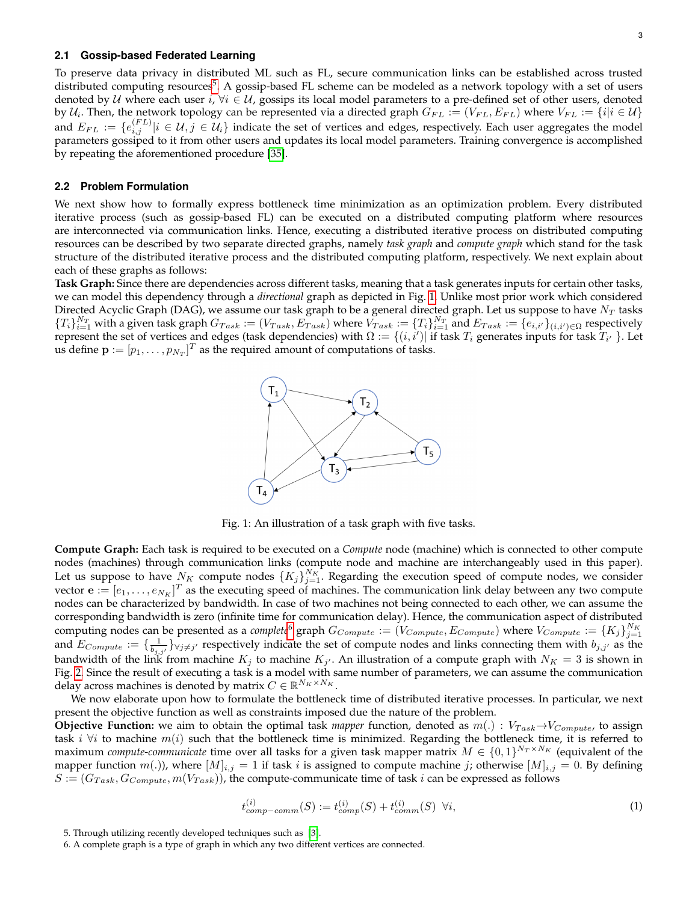#### **2.1 Gossip-based Federated Learning**

To preserve data privacy in distributed ML such as FL, secure communication links can be established across trusted distributed computing resources<sup>[5](#page-2-0)</sup>. A gossip-based FL scheme can be modeled as a network topology with a set of users denoted by U where each user i,  $\forall i \in U$ , gossips its local model parameters to a pre-defined set of other users, denoted by  $U_i$ . Then, the network topology can be represented via a directed graph  $G_{FL} := (V_{FL}, E_{FL})$  where  $V_{FL} := \{i | i \in U\}$ and  $E_{FL} := \{e_{i,j}^{(FL)} | i \in \mathcal{U}, j \in \mathcal{U}_i\}$  indicate the set of vertices and edges, respectively. Each user aggregates the model parameters gossiped to it from other users and updates its local model parameters. Training convergence is accomplished by repeating the aforementioned procedure [\[35\]](#page-10-22).

## **2.2 Problem Formulation**

We next show how to formally express bottleneck time minimization as an optimization problem. Every distributed iterative process (such as gossip-based FL) can be executed on a distributed computing platform where resources are interconnected via communication links. Hence, executing a distributed iterative process on distributed computing resources can be described by two separate directed graphs, namely *task graph* and *compute graph* which stand for the task structure of the distributed iterative process and the distributed computing platform, respectively. We next explain about each of these graphs as follows:

<span id="page-2-1"></span>**Task Graph:** Since there are dependencies across different tasks, meaning that a task generates inputs for certain other tasks, we can model this dependency through a *directional* graph as depicted in Fig. [1.](#page-2-1) Unlike most prior work which considered Directed Acyclic Graph (DAG), we assume our task graph to be a general directed graph. Let us suppose to have  $N_T$  tasks  ${T_i}_{i=1}^{N_T}$  with a given task graph  $G_{Task} := (V_{Task}, E_{Task})$  where  $V_{Task} := {T_i}_{i=1}^{N_T}$  and  $E_{Task} := \{e_{i,i'}\}_{(i,i') \in \Omega}$  respectively represent the set of vertices and edges (task dependencies) with  $\Omega := \{(i,i')|~\text{if task}~T_i~\text{generates inputs for task}~T_{i'}~\}$ . Let us define  $\mathbf{p} := [p_1, \dots, p_{N_T}]^T$  as the required amount of computations of tasks.



Fig. 1: An illustration of a task graph with five tasks.

**Compute Graph:** Each task is required to be executed on a *Compute* node (machine) which is connected to other compute nodes (machines) through communication links (compute node and machine are interchangeably used in this paper). Let us suppose to have  $N_K$  compute nodes  $\{K_j\}_{j=1}^{N_K}$ . Regarding the execution speed of compute nodes, we consider vector  $\mathbf{e}:=[e_1,\ldots,e_{N_K}]^T$  as the executing speed of machines. The communication link delay between any two compute nodes can be characterized by bandwidth. In case of two machines not being connected to each other, we can assume the corresponding bandwidth is zero (infinite time for communication delay). Hence, the communication aspect of distributed computing nodes can be presented as a *complete*<sup>[6](#page-2-2)</sup> graph  $G_{Compute} := (V_{Compute}, E_{Compute})$  where  $V_{Compute} := \{K_j\}_{j=1}^{N_K}$ <br>and  $E_{Compute} := \{\frac{1}{b_{j,j'}}\}_{\forall j \neq j'}$  respectively indicate the set of compute nodes and links connecting them with  $b_{j,j'}$ bandwidth of the link from machine  $K_j$  to machine  $K_{j'}$ . An illustration of a compute graph with  $N_K=3$  is shown in Fig. [2.](#page-3-0) Since the result of executing a task is a model with same number of parameters, we can assume the communication delay across machines is denoted by matrix  $C \in \mathbb{R}^{N_K \times N_K}.$ 

We now elaborate upon how to formulate the bottleneck time of distributed iterative processes. In particular, we next present the objective function as well as constraints imposed due the nature of the problem.

**Objective Function:** we aim to obtain the optimal task *mapper* function, denoted as  $m(.)$ :  $V_{Task} \rightarrow V_{Compute}$ , to assign task i  $\forall i$  to machine  $m(i)$  such that the bottleneck time is minimized. Regarding the bottleneck time, it is referred to maximum *compute-communicate* time over all tasks for a given task mapper matrix  $M \in \{0,1\}^{N_T \times N_K}$  (equivalent of the mapper function  $m(.)$ , where  $[M]_{i,j} = 1$  if task i is assigned to compute machine j; otherwise  $[M]_{i,j} = 0$ . By defining  $S := (G_{Task}, G_{Compute}, m(V_{Task}))$ , the compute-communicate time of task i can be expressed as follows

<span id="page-2-3"></span>
$$
t_{comp-comm}^{(i)}(S) := t_{comp}^{(i)}(S) + t_{comm}^{(i)}(S) \ \forall i,
$$
\n(1)

<span id="page-2-0"></span><sup>5.</sup> Through utilizing recently developed techniques such as [\[3\]](#page-9-11).

<span id="page-2-2"></span><sup>6.</sup> A complete graph is a type of graph in which any two different vertices are connected.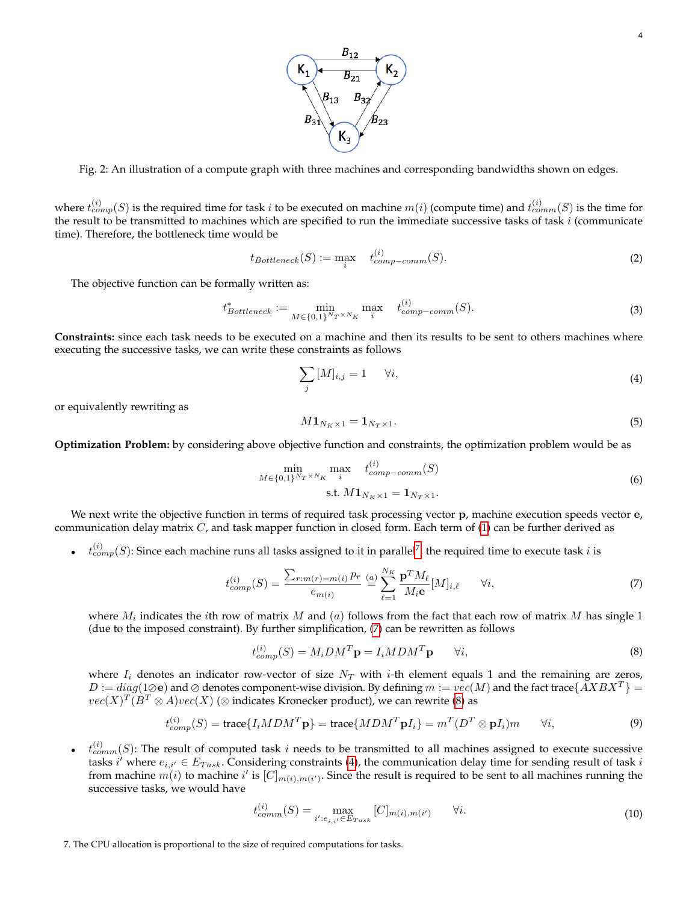

<span id="page-3-0"></span>Fig. 2: An illustration of a compute graph with three machines and corresponding bandwidths shown on edges.

where  $t_{comp}^{(i)}(S)$  is the required time for task  $i$  to be executed on machine  $m(i)$  (compute time) and  $t_{comm}^{(i)}(S)$  is the time for the result to be transmitted to machines which are specified to run the immediate successive tasks of task  $i$  (communicate time). Therefore, the bottleneck time would be

$$
t_{Bottleneck}(S) := \max_{i} \quad t_{comp-comm}^{(i)}(S). \tag{2}
$$

The objective function can be formally written as:

$$
t^*_{Bottleneck} := \min_{M \in \{0,1\}^{N_T \times N_K}} \max_i \quad t^{(i)}_{comp-comm}(S). \tag{3}
$$

**Constraints:** since each task needs to be executed on a machine and then its results to be sent to others machines where executing the successive tasks, we can write these constraints as follows

<span id="page-3-4"></span>
$$
\sum_{j} [M]_{i,j} = 1 \quad \forall i,
$$
\n<sup>(4)</sup>

or equivalently rewriting as

$$
M\mathbf{1}_{N_K\times 1} = \mathbf{1}_{N_T\times 1}.\tag{5}
$$

**Optimization Problem:** by considering above objective function and constraints, the optimization problem would be as

<span id="page-3-6"></span>
$$
\min_{M \in \{0,1\}^{N_T \times N_K}} \max_{i} \quad t_{comp-comm}^{(i)}(S) \n\text{s.t. } M \mathbf{1}_{N_K \times 1} = \mathbf{1}_{N_T \times 1}.
$$
\n(6)

We next write the objective function in terms of required task processing vector p, machine execution speeds vector e, communication delay matrix  $C$ , and task mapper function in closed form. Each term of  $(1)$  can be further derived as

 $\bullet$   $t_{comp}^{(i)}(S)$ : Since each machine runs all tasks assigned to it in parallel<sup>[7](#page-3-1)</sup>, the required time to execute task *i* is

<span id="page-3-2"></span>
$$
t_{comp}^{(i)}(S) = \frac{\sum_{r:m(r)=m(i)} p_r}{e_{m(i)}} \stackrel{(a)}{=} \sum_{\ell=1}^{N_K} \frac{\mathbf{p}^T M_\ell}{M_i \mathbf{e}} [M]_{i,\ell} \qquad \forall i,
$$
\n<sup>(7)</sup>

where  $M_i$  indicates the  $i$ th row of matrix  $M$  and  $(a)$  follows from the fact that each row of matrix  $M$  has single 1 (due to the imposed constraint). By further simplification, [\(7\)](#page-3-2) can be rewritten as follows

<span id="page-3-3"></span>
$$
t_{comp}^{(i)}(S) = M_i D M^T \mathbf{p} = I_i M D M^T \mathbf{p} \qquad \forall i,
$$
\n(8)

where  $I_i$  denotes an indicator row-vector of size  $N_T$  with *i*-th element equals 1 and the remaining are zeros,  $D := diag(1 \oslash e)$  and  $\oslash$  denotes component-wise division. By defining  $m := vec(M)$  and the fact trace  $\{AXBX^T\} =$  $vec(X)^T(B^T\otimes A)vec(X)$  ( $\otimes$  indicates Kronecker product), we can rewrite [\(8\)](#page-3-3) as

<span id="page-3-5"></span>
$$
t_{comp}^{(i)}(S) = \text{trace}\{I_i M D M^T \mathbf{p}\} = \text{trace}\{M D M^T \mathbf{p} I_i\} = m^T (D^T \otimes \mathbf{p} I_i) m \qquad \forall i,
$$
\n(9)

 $\bullet$   $t_{comm(S)}^{(i)}$ : The result of computed task i needs to be transmitted to all machines assigned to execute successive tasks i' where  $e_{i,i'} \in E_{Task}$ . Considering constraints [\(4\)](#page-3-4), the communication delay time for sending result of task i from machine  $m(i)$  to machine i' is  $[C]_{m(i),m(i')}$ . Since the result is required to be sent to all machines running the successive tasks, we would have

$$
t_{comm}^{(i)}(S) = \max_{i': e_{i,i'} \in E_{Task}} [C]_{m(i), m(i')} \qquad \forall i.
$$
 (10)

<span id="page-3-1"></span>7. The CPU allocation is proportional to the size of required computations for tasks.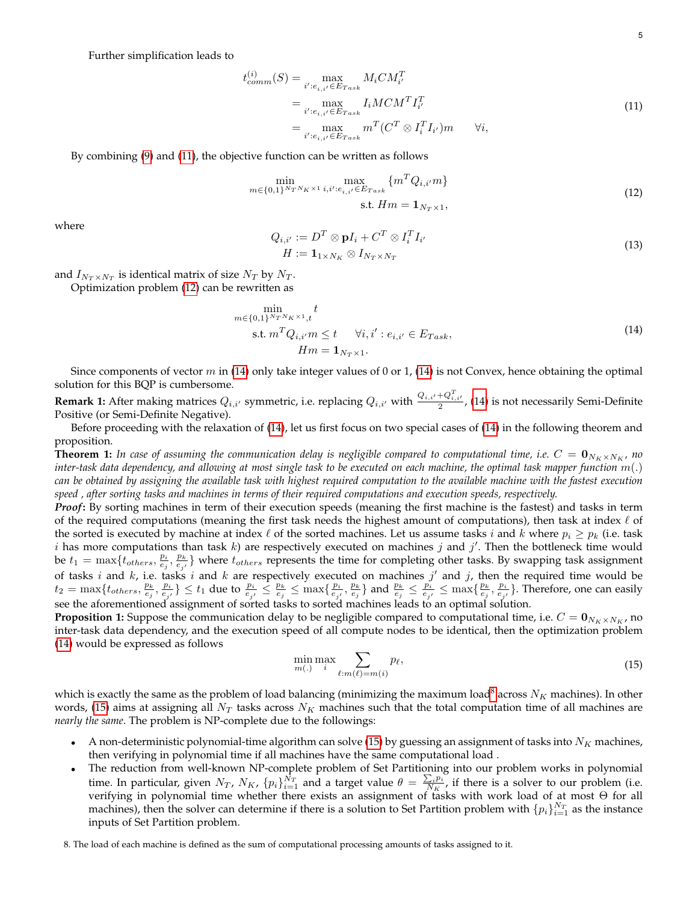Further simplification leads to

<span id="page-4-0"></span>
$$
t_{comm}^{(i)}(S) = \max_{i':e_{i,i'} \in E_{Task}} M_i C M_{i'}^T
$$
  
= 
$$
\max_{i':e_{i,i'} \in E_{Task}} I_i M C M^T I_{i'}^T
$$
  
= 
$$
\max_{i':e_{i,i'} \in E_{Task}} m^T (C^T \otimes I_i^T I_{i'}) m \qquad \forall i,
$$
 (11)

By combining [\(9\)](#page-3-5) and [\(11\)](#page-4-0), the objective function can be written as follows

<span id="page-4-1"></span>
$$
\min_{m \in \{0,1\}^{N_T N_K \times 1}} \max_{i,i':e_{i,i'} \in E_{Task}} \{m^T Q_{i,i'} m\}
$$
\n
$$
\text{s.t. } Hm = \mathbf{1}_{N_T \times 1},
$$
\n(12)

where

$$
Q_{i,i'} := D^T \otimes \mathbf{p} I_i + C^T \otimes I_i^T I_{i'}
$$
  
\n
$$
H := \mathbf{1}_{1 \times N_K} \otimes I_{N_T \times N_T}
$$
\n(13)

and  $I_{N_T \times N_T}$  is identical matrix of size  $N_T$  by  $N_T$ .

Optimization problem [\(12\)](#page-4-1) can be rewritten as

<span id="page-4-2"></span>
$$
\min_{m \in \{0,1\}^{N_T N_K \times 1}, t} t
$$
\n
$$
\text{s.t. } m^T Q_{i,i'} m \le t \quad \forall i, i' : e_{i,i'} \in E_{Task},
$$
\n
$$
Hm = \mathbf{1}_{N_T \times 1}.
$$
\n(14)

Since components of vector  $m$  in [\(14\)](#page-4-2) only take integer values of 0 or 1, (14) is not Convex, hence obtaining the optimal solution for this BQP is cumbersome.

**Remark 1:** After making matrices  $Q_{i,i'}$  symmetric, i.e. replacing  $Q_{i,i'}$  with  $\frac{Q_{i,i'}+Q_{i,i'}^T}{2}$ , [\(14\)](#page-4-2) is not necessarily Semi-Definite Positive (or Semi-Definite Negative).

Before proceeding with the relaxation of [\(14\)](#page-4-2), let us first focus on two special cases of [\(14\)](#page-4-2) in the following theorem and proposition.

**Theorem 1:** In case of assuming the communication delay is negligible compared to computational time, i.e.  $C = \mathbf{0}_{N_K \times N_K}$ , no *inter-task data dependency, and allowing at most single task to be executed on each machine, the optimal task mapper function*  $m(.)$ *can be obtained by assigning the available task with highest required computation to the available machine with the fastest execution speed , after sorting tasks and machines in terms of their required computations and execution speeds, respectively.*

*Proof***:** By sorting machines in term of their execution speeds (meaning the first machine is the fastest) and tasks in term of the required computations (meaning the first task needs the highest amount of computations), then task at index  $\ell$  of the sorted is executed by machine at index  $\ell$  of the sorted machines. Let us assume tasks i and k where  $p_i \geq p_k$  (i.e. task i has more computations than task k) are respectively executed on machines j and j'. Then the bottleneck time would be  $t_1 = \max\{t_{others}, \frac{p_i}{e_j}, \frac{p_k}{e_{j'}}\}$  where  $t_{others}$  represents the time for completing other tasks. By swapping task assignment of tasks i and  $k$ , i.e. tasks i and  $k$  are respectively executed on machines  $j'$  and  $j$ , then the required time would be  $t_2 = \max\{t_{others}, \frac{p_k}{e_j}, \frac{p_i}{e_{j'}}\} \le t_1$  due to  $\frac{p_i}{e_{j'}} \le \frac{p_k}{e_j} \le \max\{\frac{p_i}{e_{j'}, \frac{p_k}{e_j}}\}$  and  $\frac{p_k}{e_j} \le \frac{p_i}{e_{j'}} \le \max\{\frac{p_k}{e_j}, \frac{p_i}{e_{j'}}\}$ . Therefore, one can easily see the aforementioned assignment of sorted tasks to sorted machines leads to an optimal solution.

**Proposition 1:** Suppose the communication delay to be negligible compared to computational time, i.e.  $C = \mathbf{0}_{N_K \times N_K}$ , no inter-task data dependency, and the execution speed of all compute nodes to be identical, then the optimization problem [\(14\)](#page-4-2) would be expressed as follows

<span id="page-4-4"></span>
$$
\min_{m(.)} \max_{i} \sum_{\ell:m(\ell)=m(i)} p_{\ell},\tag{15}
$$

which is exactly the same as the problem of load balancing (minimizing the maximum load $^8$  $^8$  across  $N_K$  machines). In other words, [\(15\)](#page-4-4) aims at assigning all  $N_T$  tasks across  $N_K$  machines such that the total computation time of all machines are *nearly the same*. The problem is NP-complete due to the followings:

- A non-deterministic polynomial-time algorithm can solve [\(15\)](#page-4-4) by guessing an assignment of tasks into  $N_K$  machines, then verifying in polynomial time if all machines have the same computational load .
- The reduction from well-known NP-complete problem of Set Partitioning into our problem works in polynomial time. In particular, given  $N_T$ ,  $N_K$ ,  $\{p_i\}_{i=1}^{\bar{N}_T}$  and a target value  $\theta = \frac{\sum_i p_i}{N_K}$  $\frac{\sum_i p_i}{N_K}$ , if there is a solver to our problem (i.e. verifying in polynomial time whether there exists an assignment of tasks with work load of at most Θ for all machines), then the solver can determine if there is a solution to Set Partition problem with  $\{p_i\}_{i=1}^{N_T}$  as the instance inputs of Set Partition problem.

<span id="page-4-3"></span>8. The load of each machine is defined as the sum of computational processing amounts of tasks assigned to it.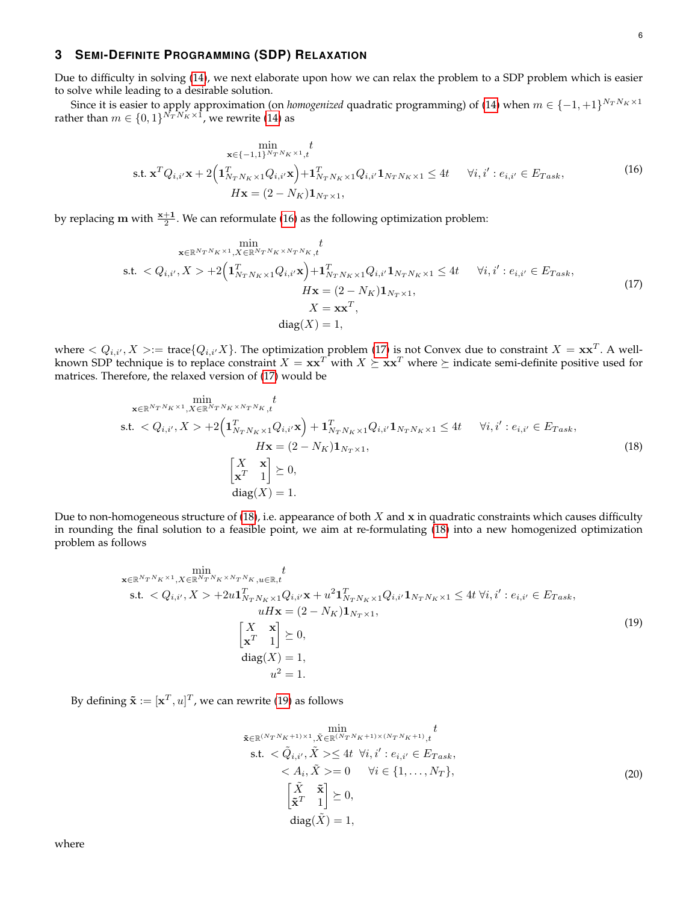# <span id="page-5-0"></span>**3 SEMI-DEFINITE PROGRAMMING (SDP) RELAXATION**

Due to difficulty in solving [\(14\)](#page-4-2), we next elaborate upon how we can relax the problem to a SDP problem which is easier to solve while leading to a desirable solution.

Since it is easier to apply approximation (on *homogenized* quadratic programming) of [\(14\)](#page-4-2) when  $m \in \{-1,+1\}^{N_T N_K \times 1}$ rather than  $m \in \{0,1\}^{N_T N_K \times 1}$ , we rewrite [\(14\)](#page-4-2) as

<span id="page-5-1"></span>
$$
\min_{\mathbf{x} \in \{-1,1\}^{N_T N_K \times 1}, t} t
$$
\ns.t.  $\mathbf{x}^T Q_{i,i'} \mathbf{x} + 2\left(\mathbf{1}_{N_T N_K \times 1}^T Q_{i,i'} \mathbf{x}\right) + \mathbf{1}_{N_T N_K \times 1}^T Q_{i,i'} \mathbf{1}_{N_T N_K \times 1} \le 4t \quad \forall i, i' : e_{i,i'} \in E_{Task},$ \n
$$
H\mathbf{x} = (2 - N_K)\mathbf{1}_{N_T \times 1},
$$
\n(16)

by replacing  $m$  with  $\frac{x+1}{2}$ . We can reformulate [\(16\)](#page-5-1) as the following optimization problem:

<span id="page-5-2"></span>
$$
\min_{\mathbf{x} \in \mathbb{R}^{N_{T}N_{K} \times 1}, X \in \mathbb{R}^{N_{T}N_{K} \times N_{T}N_{K}}, t} \min_{\mathbf{x}, \mathbf{y} \in \mathbb{R}^{N_{T}N_{K} \times 1} \times 1} \mathcal{A}_{\mathbf{x}, \mathbf{y}} \mathbf{y} + \mathbf{1}_{N_{T}N_{K} \times 1}^{T} Q_{i, i'} \mathbf{1}_{N_{T}N_{K} \times 1} \le 4t \quad \forall i, i' : e_{i, i'} \in E_{Task}, \quad H\mathbf{x} = (2 - N_{K})\mathbf{1}_{N_{T} \times 1}, \quad X = \mathbf{x}\mathbf{x}^{T}, \quad \text{diag}(X) = 1,
$$
\n
$$
(17)
$$

where  $Q_{i,i'}, X>:=\text{trace}\{Q_{i,i'}X\}$ . The optimization problem [\(17\)](#page-5-2) is not Convex due to constraint  $X = \mathbf{x}\mathbf{x}^T$ . A wellknown SDP technique is to replace constraint  $X = xx^T$  with  $X \succeq xx^T$  where  $\succeq$  indicate semi-definite positive used for matrices. Therefore, the relaxed version of [\(17\)](#page-5-2) would be

<span id="page-5-3"></span>min x∈RNT NK×1,X∈RNT NK×NT NK ,t t s.t. < Qi,i<sup>0</sup> , X > +2 1 T <sup>N</sup><sup>T</sup> <sup>N</sup>K×1Qi,i<sup>0</sup>x + 1 T <sup>N</sup><sup>T</sup> <sup>N</sup>K×1Qi,i<sup>0</sup>1N<sup>T</sup> <sup>N</sup>K×<sup>1</sup> ≤ 4t ∀i, i<sup>0</sup> : ei,i<sup>0</sup> ∈ ET ask, Hx = (2 − NK)1N<sup>T</sup> <sup>×</sup>1, X x x <sup>T</sup> 1 0, diag(X) = 1. (18)

Due to non-homogeneous structure of [\(18\)](#page-5-3), i.e. appearance of both  $X$  and  $x$  in quadratic constraints which causes difficulty in rounding the final solution to a feasible point, we aim at re-formulating [\(18\)](#page-5-3) into a new homogenized optimization problem as follows

<span id="page-5-4"></span>
$$
\begin{aligned}\n&\sum_{\mathbf{x} \in \mathbb{R}^{N_{T}N_{K}} \times 1, X \in \mathbb{R}^{N_{T}N_{K}} \times N_{T}N_{K}} \text{min}_{u \in \mathbb{R}, t} t \\
&\text{s.t.} < Q_{i,i'}, X > +2u \mathbf{1}_{N_{T}N_{K} \times 1}^{T} Q_{i,i'} \mathbf{x} + u^{2} \mathbf{1}_{N_{T}N_{K} \times 1}^{T} Q_{i,i'} \mathbf{1}_{N_{T}N_{K} \times 1} \le 4t \ \forall i, i' : e_{i,i'} \in E_{Task}, \\
&u H \mathbf{x} = (2 - N_{K}) \mathbf{1}_{N_{T} \times 1}, \\
&\begin{bmatrix} X & \mathbf{x} \\ \mathbf{x}^{T} & 1 \end{bmatrix} \succeq 0, \\
& \text{diag}(X) = 1, \\
& u^{2} = 1.\n\end{aligned} \tag{19}
$$

By defining  $\tilde{\mathbf{x}} := [\mathbf{x}^T, u]^T$ , we can rewrite [\(19\)](#page-5-4) as follows

<span id="page-5-5"></span>
$$
\begin{aligned}\n\tilde{\mathbf{x}} \in \mathbb{R}^{(N_T N_K + 1) \times 1}, & \tilde{\mathbf{x}} \in \mathbb{R}^{(N_T N_K + 1) \times (N_T N_K + 1)}, & t \\
\text{s.t.} & < \tilde{Q}_{i,i'}, \tilde{X} > \leq 4t \ \forall i, i' : e_{i,i'} \in E_{Task}, \\
& < A_i, \tilde{X} > = 0 \quad \forall i \in \{1, \dots, N_T\}, \\
& \begin{bmatrix} \tilde{X} & \tilde{\mathbf{x}} \\ \tilde{\mathbf{x}}^T & 1 \end{bmatrix} \succeq 0, \\
& \text{diag}(\tilde{X}) = 1,\n\end{aligned}\n\tag{20}
$$

where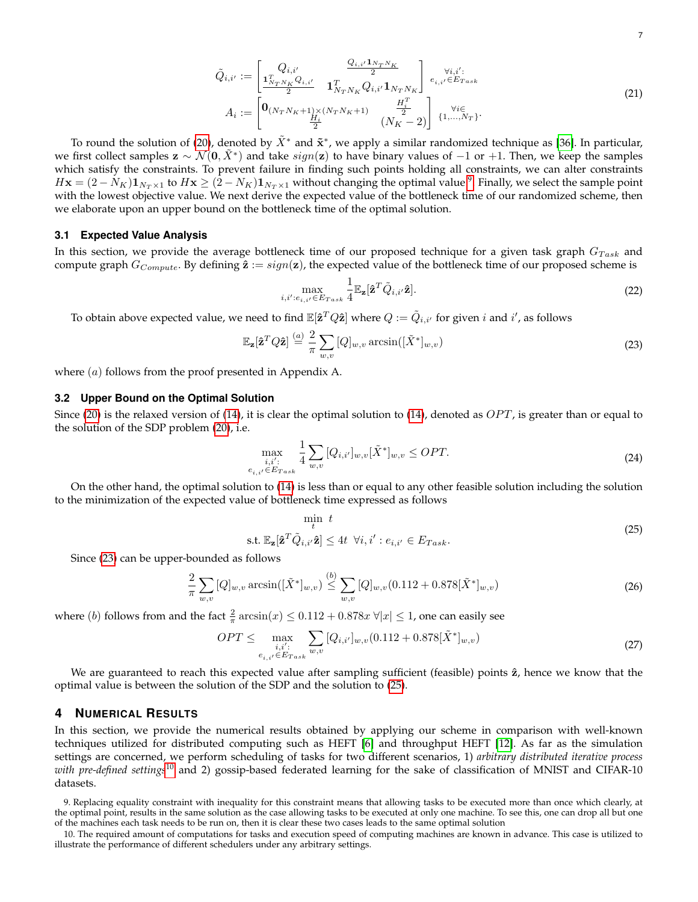$$
\tilde{Q}_{i,i'} := \begin{bmatrix} Q_{i,i'} & \frac{Q_{i,i'} 1_{N_T N_K}}{2} \\ \frac{1_{N_T N_K}^T Q_{i,i'}}{2} & 1_{N_T N_K}^T Q_{i,i'} 1_{N_T N_K} \end{bmatrix} \begin{bmatrix} \forall i,i': \\ e_{i,i'} \in E_{Task} \end{bmatrix} \nA_i := \begin{bmatrix} 0_{(N_T N_K + 1) \times (N_T N_K + 1)} & \frac{H_i^T}{2} \\ \frac{H_i^T}{2} & (N_K - 2) \end{bmatrix} \begin{bmatrix} \forall i \in \\ \{1, \dots, N_T\} \end{bmatrix}.
$$
\n(21)

To round the solution of [\(20\)](#page-5-5), denoted by  $\tilde{X}^*$  and  $\tilde{\mathbf{x}}^*$ , we apply a similar randomized technique as [\[36\]](#page-10-23). In particular, we first collect samples  $\mathbf{z} \sim \mathcal{N}(\mathbf{0}, \tilde{X}^*)$  and take  $sign(\mathbf{z})$  to have binary values of  $-1$  or  $+1$ . Then, we keep the samples which satisfy the constraints. To prevent failure in finding such points holding all constraints, we can alter constraints  $H{\bf x}=(2-N_K){\bf 1}_{N_T\times 1}$  to  $H{\bf x}\geq (2-N_K){\bf 1}_{N_T\times 1}$  without changing the optimal value  $^9$  $^9$ . Finally, we select the sample point with the lowest objective value. We next derive the expected value of the bottleneck time of our randomized scheme, then we elaborate upon an upper bound on the bottleneck time of the optimal solution.

#### **3.1 Expected Value Analysis**

In this section, we provide the average bottleneck time of our proposed technique for a given task graph  $G_{Task}$  and compute graph  $G_{Compute}$ . By defining  $\hat{\mathbf{z}} := sign(\mathbf{z})$ , the expected value of the bottleneck time of our proposed scheme is

$$
\max_{i,i':e_{i,i'} \in E_{Task}} \frac{1}{4} \mathbb{E}_{\mathbf{z}}[\hat{\mathbf{z}}^T \tilde{Q}_{i,i'} \hat{\mathbf{z}}].
$$
\n(22)

To obtain above expected value, we need to find  $\mathbb{E}[\mathbf{\hat{z}}^TQ\mathbf{\hat{z}}]$  where  $Q:=\tilde{Q}_{i,i'}$  for given  $i$  and  $i'$ , as follows

<span id="page-6-2"></span>
$$
\mathbb{E}_{\mathbf{z}}[\hat{\mathbf{z}}^T Q \hat{\mathbf{z}}] \stackrel{(a)}{=} \frac{2}{\pi} \sum_{w,v} [Q]_{w,v} \arcsin([\tilde{X}^*]_{w,v})
$$
\n(23)

where  $(a)$  follows from the proof presented in Appendix A.

#### **3.2 Upper Bound on the Optimal Solution**

Since [\(20\)](#page-5-5) is the relaxed version of [\(14\)](#page-4-2), it is clear the optimal solution to (14), denoted as  $OPT$ , is greater than or equal to the solution of the SDP problem [\(20\)](#page-5-5), i.e.

$$
\max_{\substack{i,i':\\e_{i,i'} \in E_{Task}}} \frac{1}{4} \sum_{w,v} [Q_{i,i'}]_{w,v} [\tilde{X}^*]_{w,v} \le OPT.
$$
\n(24)

On the other hand, the optimal solution to [\(14\)](#page-4-2) is less than or equal to any other feasible solution including the solution to the minimization of the expected value of bottleneck time expressed as follows

<span id="page-6-3"></span>
$$
\min_{t} t
$$
\n
$$
\text{s.t. } \mathbb{E}_{\mathbf{z}}[\hat{\mathbf{z}}^{T}\tilde{Q}_{i,i'}\hat{\mathbf{z}}] \le 4t \ \forall i, i' : e_{i,i'} \in E_{Task}.\tag{25}
$$

Since [\(23\)](#page-6-2) can be upper-bounded as follows

$$
\frac{2}{\pi} \sum_{w,v} [Q]_{w,v} \arcsin([\tilde{X}^*]_{w,v}) \stackrel{(b)}{\leq} \sum_{w,v} [Q]_{w,v} (0.112 + 0.878[\tilde{X}^*]_{w,v})
$$
\n(26)

where (*b*) follows from and the fact  $\frac{2}{\pi} \arcsin(x) \le 0.112 + 0.878x \,\forall |x| \le 1$ , one can easily see

$$
OPT \le \max_{\substack{i,i':\\e_{i,i'} \in E_{Task}}} \sum_{w,v} [Q_{i,i'}]_{w,v} (0.112 + 0.878[\tilde{X}^*]_{w,v})
$$
\n(27)

We are guaranteed to reach this expected value after sampling sufficient (feasible) points  $\hat{z}$ , hence we know that the optimal value is between the solution of the SDP and the solution to [\(25\)](#page-6-3).

# <span id="page-6-0"></span>**4 NUMERICAL RESULTS**

In this section, we provide the numerical results obtained by applying our scheme in comparison with well-known techniques utilized for distributed computing such as HEFT [\[6\]](#page-9-4) and throughput HEFT [\[12\]](#page-9-10). As far as the simulation settings are concerned, we perform scheduling of tasks for two different scenarios, 1) *arbitrary distributed iterative process with pre-defined settings*[10](#page-6-4) and 2) gossip-based federated learning for the sake of classification of MNIST and CIFAR-10 datasets.

<span id="page-6-1"></span>9. Replacing equality constraint with inequality for this constraint means that allowing tasks to be executed more than once which clearly, at the optimal point, results in the same solution as the case allowing tasks to be executed at only one machine. To see this, one can drop all but one of the machines each task needs to be run on, then it is clear these two cases leads to the same optimal solution

<span id="page-6-4"></span>10. The required amount of computations for tasks and execution speed of computing machines are known in advance. This case is utilized to illustrate the performance of different schedulers under any arbitrary settings.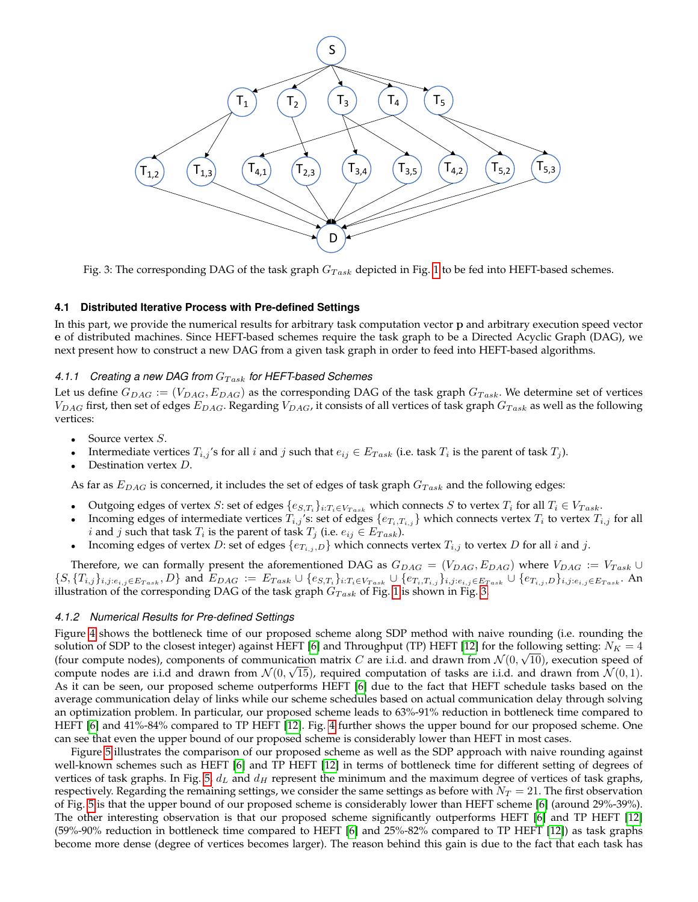<span id="page-7-0"></span>

Fig. 3: The corresponding DAG of the task graph  $G_{Task}$  depicted in Fig. [1](#page-2-1) to be fed into HEFT-based schemes.

### **4.1 Distributed Iterative Process with Pre-defined Settings**

In this part, we provide the numerical results for arbitrary task computation vector p and arbitrary execution speed vector e of distributed machines. Since HEFT-based schemes require the task graph to be a Directed Acyclic Graph (DAG), we next present how to construct a new DAG from a given task graph in order to feed into HEFT-based algorithms.

# 4.1.1 Creating a new DAG from  $G_{Task}$  for HEFT-based Schemes

Let us define  $G_{DAG} := (V_{DAG}, E_{DAG})$  as the corresponding DAG of the task graph  $G_{Task}$ . We determine set of vertices  $V_{DAG}$  first, then set of edges  $E_{DAG}$ . Regarding  $V_{DAG}$ , it consists of all vertices of task graph  $G_{Task}$  as well as the following vertices:

- Source vertex *S*.
- Intermediate vertices  $T_{i,j}$ 's for all i and j such that  $e_{ij} \in E_{Task}$  (i.e. task  $T_i$  is the parent of task  $T_j$ ).
- Destination vertex  $D$ .

As far as  $E_{DAG}$  is concerned, it includes the set of edges of task graph  $G_{Task}$  and the following edges:

- Outgoing edges of vertex S: set of edges  $\{e_{S,T_i}\}_{i:T_i \in V_{Task}}$  which connects S to vertex  $T_i$  for all  $T_i \in V_{Task}$ .
- Incoming edges of intermediate vertices  $T_{i,j}$ 's: set of edges  $\{e_{T_i,T_{i,j}}\}$  which connects vertex  $T_i$  to vertex  $T_{i,j}$  for all *i* and *j* such that task  $T_i$  is the parent of task  $T_j$  (i.e.  $e_{ij} \in E_{Task}$ ).
- Incoming edges of vertex D: set of edges  $\{e_{T_{i,j},D}\}$  which connects vertex  $T_{i,j}$  to vertex D for all i and j.

Therefore, we can formally present the aforementioned DAG as  $G_{DAG} = (V_{DAG}, E_{DAG})$  where  $V_{DAG} := V_{Task} \cup$  $\{S, \{T_{i,j}\}_{i,j: e_{i,j} \in E_{Task}}, D\}$  and  $E_{DAG} := E_{Task} \cup \{e_{S,T_i}\}_{i:T_i \in V_{Task}} \cup \{e_{T_i,T_{i,j}}\}_{i,j: e_{i,j} \in E_{Task}} \cup \{e_{T_{i,j},D}\}_{i,j: e_{i,j} \in E_{Task}}$ . An illustration of the corresponding DAG of the task graph  $G_{Task}$  of Fig. [1](#page-2-1) is shown in Fig. [3.](#page-7-0)

#### *4.1.2 Numerical Results for Pre-defined Settings*

Figure [4](#page-8-0) shows the bottleneck time of our proposed scheme along SDP method with naive rounding (i.e. rounding the solution of SDP to the closest integer) against HEFT [\[6\]](#page-9-4) and Throughput (TP) HEFT [\[12\]](#page-9-10) for the following setting:  $N_K = 4$ (four compute nodes), components of communication matrix C are i.i.d. and drawn from  $\mathcal{N}(0, \sqrt{10})$ , execution speed of compute nodes are i.i.d and drawn from  $\mathcal{N}(0,\sqrt{15})$ , required computation of tasks are i.i.d. and drawn from  $\mathcal{N}(0,1)$ . As it can be seen, our proposed scheme outperforms HEFT [\[6\]](#page-9-4) due to the fact that HEFT schedule tasks based on the average communication delay of links while our scheme schedules based on actual communication delay through solving an optimization problem. In particular, our proposed scheme leads to 63%-91% reduction in bottleneck time compared to HEFT [\[6\]](#page-9-4) and 41%-84% compared to TP HEFT [\[12\]](#page-9-10). Fig. [4](#page-8-0) further shows the upper bound for our proposed scheme. One can see that even the upper bound of our proposed scheme is considerably lower than HEFT in most cases.

Figure [5](#page-8-1) illustrates the comparison of our proposed scheme as well as the SDP approach with naive rounding against well-known schemes such as HEFT [\[6\]](#page-9-4) and TP HEFT [\[12\]](#page-9-10) in terms of bottleneck time for different setting of degrees of vertices of task graphs. In Fig. [5,](#page-8-1)  $d_L$  and  $d_H$  represent the minimum and the maximum degree of vertices of task graphs, respectively. Regarding the remaining settings, we consider the same settings as before with  $N_T = 21$ . The first observation of Fig. [5](#page-8-1) is that the upper bound of our proposed scheme is considerably lower than HEFT scheme [\[6\]](#page-9-4) (around 29%-39%). The other interesting observation is that our proposed scheme significantly outperforms HEFT [\[6\]](#page-9-4) and TP HEFT [\[12\]](#page-9-10) (59%-90% reduction in bottleneck time compared to HEFT [\[6\]](#page-9-4) and 25%-82% compared to TP HEFT [\[12\]](#page-9-10)) as task graphs become more dense (degree of vertices becomes larger). The reason behind this gain is due to the fact that each task has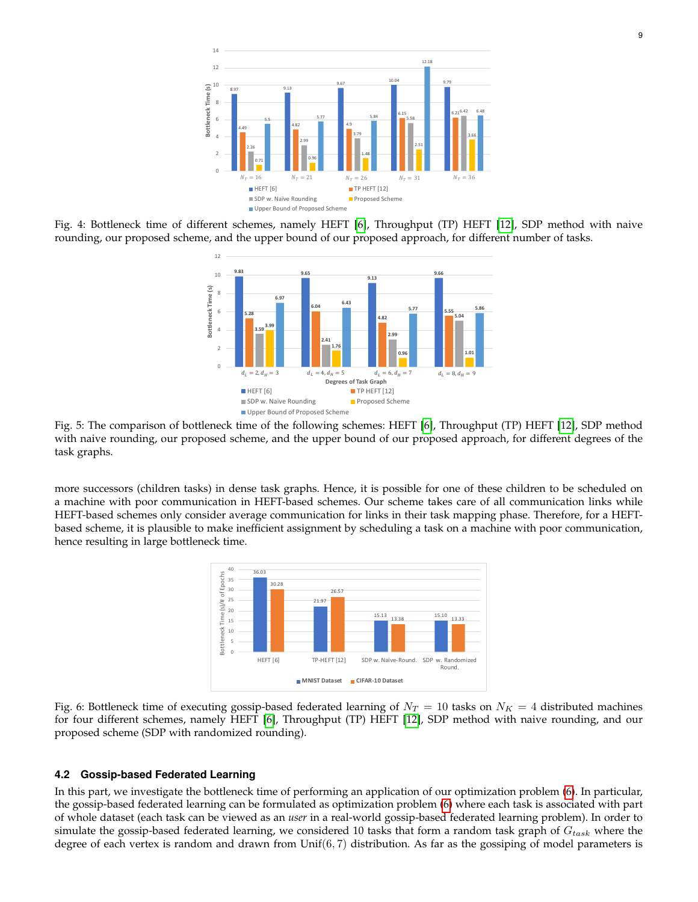<span id="page-8-0"></span>

<span id="page-8-1"></span>Fig. 4: Bottleneck time of different schemes, namely HEFT [\[6\]](#page-9-4), Throughput (TP) HEFT [\[12\]](#page-9-10), SDP method with naive rounding, our proposed scheme, and the upper bound of our proposed approach, for different number of tasks.



Fig. 5: The comparison of bottleneck time of the following schemes: HEFT [\[6\]](#page-9-4), Throughput (TP) HEFT [\[12\]](#page-9-10), SDP method with naive rounding, our proposed scheme, and the upper bound of our proposed approach, for different degrees of the task graphs.

<span id="page-8-2"></span>more successors (children tasks) in dense task graphs. Hence, it is possible for one of these children to be scheduled on a machine with poor communication in HEFT-based schemes. Our scheme takes care of all communication links while HEFT-based schemes only consider average communication for links in their task mapping phase. Therefore, for a HEFTbased scheme, it is plausible to make inefficient assignment by scheduling a task on a machine with poor communication, hence resulting in large bottleneck time.



Fig. 6: Bottleneck time of executing gossip-based federated learning of  $N_T = 10$  tasks on  $N_K = 4$  distributed machines for four different schemes, namely HEFT [\[6\]](#page-9-4), Throughput (TP) HEFT [\[12\]](#page-9-10), SDP method with naive rounding, and our proposed scheme (SDP with randomized rounding).

#### **4.2 Gossip-based Federated Learning**

In this part, we investigate the bottleneck time of performing an application of our optimization problem [\(6\)](#page-3-6). In particular, the gossip-based federated learning can be formulated as optimization problem [\(6\)](#page-3-6) where each task is associated with part of whole dataset (each task can be viewed as an *user* in a real-world gossip-based federated learning problem). In order to simulate the gossip-based federated learning, we considered 10 tasks that form a random task graph of  $G_{task}$  where the degree of each vertex is random and drawn from  $Unif(6, 7)$  distribution. As far as the gossiping of model parameters is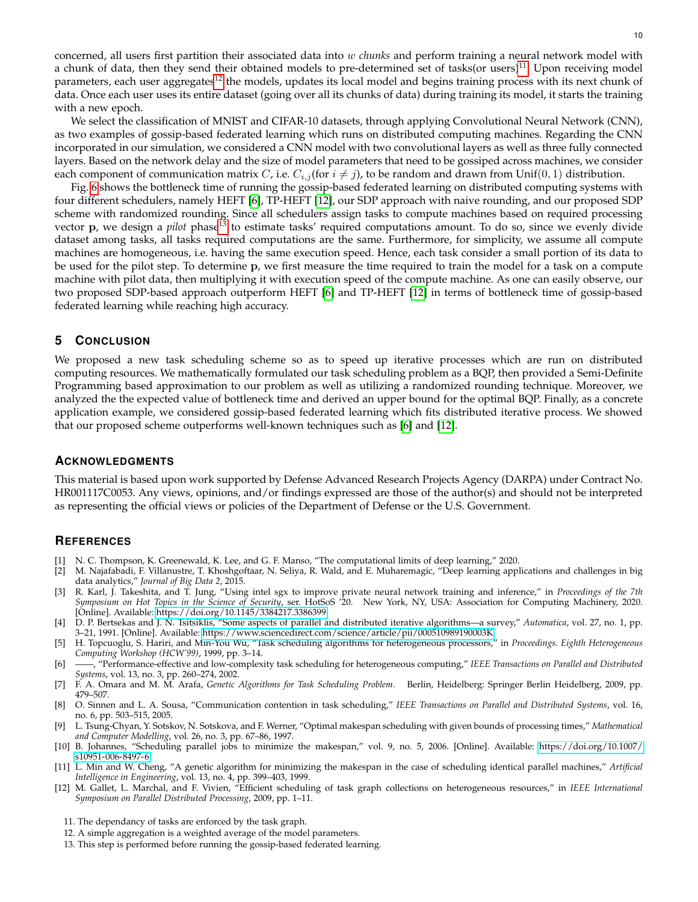concerned, all users first partition their associated data into w *chunks* and perform training a neural network model with a chunk of data, then they send their obtained models to pre-determined set of tasks(or users)<sup>[11](#page-9-12)</sup>. Upon receiving model parameters, each user aggregates<sup>[12](#page-9-13)</sup> the models, updates its local model and begins training process with its next chunk of data. Once each user uses its entire dataset (going over all its chunks of data) during training its model, it starts the training with a new epoch.

We select the classification of MNIST and CIFAR-10 datasets, through applying Convolutional Neural Network (CNN), as two examples of gossip-based federated learning which runs on distributed computing machines. Regarding the CNN incorporated in our simulation, we considered a CNN model with two convolutional layers as well as three fully connected layers. Based on the network delay and the size of model parameters that need to be gossiped across machines, we consider each component of communication matrix *C*, i.e.  $C_{i,j}$  (for  $i \neq j$ ), to be random and drawn from Unif(0, 1) distribution.

Fig. [6](#page-8-2) shows the bottleneck time of running the gossip-based federated learning on distributed computing systems with four different schedulers, namely HEFT [\[6\]](#page-9-4), TP-HEFT [\[12\]](#page-9-10), our SDP approach with naive rounding, and our proposed SDP scheme with randomized rounding. Since all schedulers assign tasks to compute machines based on required processing vector p, we design a *pilot* phase<sup>[13](#page-9-14)</sup> to estimate tasks' required computations amount. To do so, since we evenly divide dataset among tasks, all tasks required computations are the same. Furthermore, for simplicity, we assume all compute machines are homogeneous, i.e. having the same execution speed. Hence, each task consider a small portion of its data to be used for the pilot step. To determine p, we first measure the time required to train the model for a task on a compute machine with pilot data, then multiplying it with execution speed of the compute machine. As one can easily observe, our two proposed SDP-based approach outperform HEFT [\[6\]](#page-9-4) and TP-HEFT [\[12\]](#page-9-10) in terms of bottleneck time of gossip-based federated learning while reaching high accuracy.

# **5 CONCLUSION**

We proposed a new task scheduling scheme so as to speed up iterative processes which are run on distributed computing resources. We mathematically formulated our task scheduling problem as a BQP, then provided a Semi-Definite Programming based approximation to our problem as well as utilizing a randomized rounding technique. Moreover, we analyzed the the expected value of bottleneck time and derived an upper bound for the optimal BQP. Finally, as a concrete application example, we considered gossip-based federated learning which fits distributed iterative process. We showed that our proposed scheme outperforms well-known techniques such as [\[6\]](#page-9-4) and [\[12\]](#page-9-10).

# **ACKNOWLEDGMENTS**

This material is based upon work supported by Defense Advanced Research Projects Agency (DARPA) under Contract No. HR001117C0053. Any views, opinions, and/or findings expressed are those of the author(s) and should not be interpreted as representing the official views or policies of the Department of Defense or the U.S. Government.

## **REFERENCES**

- <span id="page-9-0"></span>[1] N. C. Thompson, K. Greenewald, K. Lee, and G. F. Manso, "The computational limits of deep learning," 2020.
- <span id="page-9-1"></span>[2] M. Najafabadi, F. Villanustre, T. Khoshgoftaar, N. Seliya, R. Wald, and E. Muharemagic, "Deep learning applications and challenges in big data analytics," *Journal of Big Data 2*, 2015.
- <span id="page-9-11"></span>[3] R. Karl, J. Takeshita, and T. Jung, "Using intel sgx to improve private neural network training and inference," in *Proceedings of the 7th Symposium on Hot Topics in the Science of Security*, ser. HotSoS '20. New York, NY, USA: Association for Computing Machinery, 2020. [Online]. Available:<https://doi.org/10.1145/3384217.3386399>
- <span id="page-9-2"></span>[4] D. P. Bertsekas and J. N. Tsitsiklis, "Some aspects of parallel and distributed iterative algorithms—a survey," *Automatica*, vol. 27, no. 1, pp. 3–21, 1991. [Online]. Available:<https://www.sciencedirect.com/science/article/pii/000510989190003K>
- <span id="page-9-3"></span>[5] H. Topcuoglu, S. Hariri, and Min-You Wu, "Task scheduling algorithms for heterogeneous processors," in *Proceedings. Eighth Heterogeneous Computing Workshop (HCW'99)*, 1999, pp. 3–14.
- <span id="page-9-4"></span>[6] ——, "Performance-effective and low-complexity task scheduling for heterogeneous computing," *IEEE Transactions on Parallel and Distributed Systems*, vol. 13, no. 3, pp. 260–274, 2002.
- <span id="page-9-5"></span>[7] F. A. Omara and M. M. Arafa, *Genetic Algorithms for Task Scheduling Problem*. Berlin, Heidelberg: Springer Berlin Heidelberg, 2009, pp. 479–507.
- <span id="page-9-6"></span>[8] O. Sinnen and L. A. Sousa, "Communication contention in task scheduling," *IEEE Transactions on Parallel and Distributed Systems*, vol. 16, no. 6, pp. 503–515, 2005.
- <span id="page-9-7"></span>[9] L. Tsung-Chyan, Y. Sotskov, N. Sotskova, and F. Werner, "Optimal makespan scheduling with given bounds of processing times," *Mathematical and Computer Modelling*, vol. 26, no. 3, pp. 67–86, 1997.
- <span id="page-9-8"></span>[10] B. Johannes, "Scheduling parallel jobs to minimize the makespan," vol. 9, no. 5, 2006. [Online]. Available: [https://doi.org/10.1007/](https://doi.org/10.1007/s10951-006-8497-6) [s10951-006-8497-6](https://doi.org/10.1007/s10951-006-8497-6)
- <span id="page-9-9"></span>[11] L. Min and W. Cheng, "A genetic algorithm for minimizing the makespan in the case of scheduling identical parallel machines," *Artificial Intelligence in Engineering*, vol. 13, no. 4, pp. 399–403, 1999.
- <span id="page-9-10"></span>[12] M. Gallet, L. Marchal, and F. Vivien, "Efficient scheduling of task graph collections on heterogeneous resources," in *IEEE International Symposium on Parallel Distributed Processing*, 2009, pp. 1–11.
- <span id="page-9-12"></span>11. The dependancy of tasks are enforced by the task graph.
- <span id="page-9-13"></span>12. A simple aggregation is a weighted average of the model parameters.
- <span id="page-9-14"></span>13. This step is performed before running the gossip-based federated learning.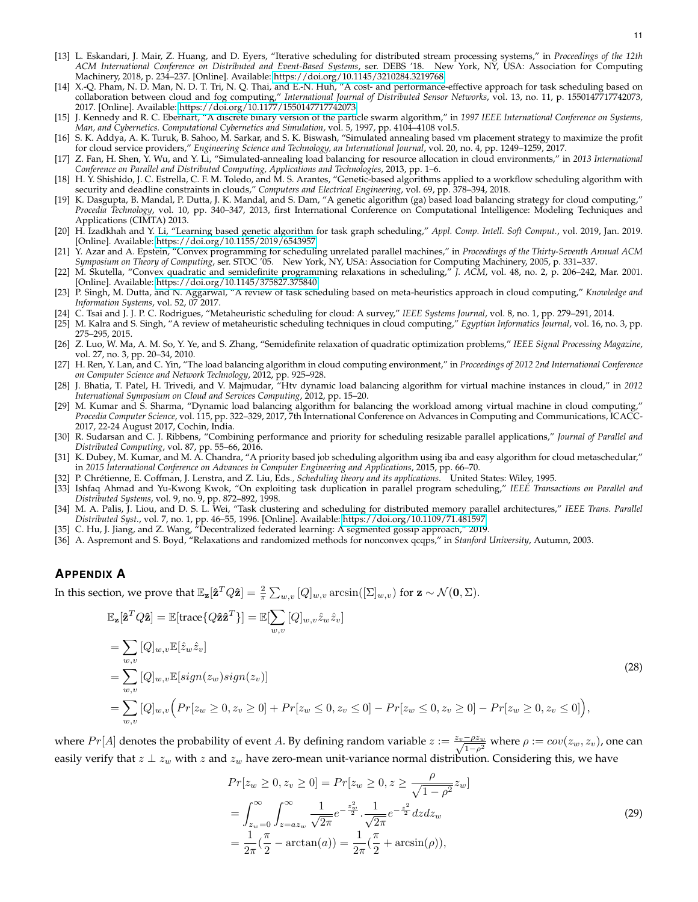- <span id="page-10-0"></span>[13] L. Eskandari, J. Mair, Z. Huang, and D. Eyers, "Iterative scheduling for distributed stream processing systems," in *Proceedings of the 12th ACM International Conference on Distributed and Event-Based Systems*, ser. DEBS '18. New York, NY, USA: Association for Computing Machinery, 2018, p. 234–237. [Online]. Available:<https://doi.org/10.1145/3210284.3219768>
- <span id="page-10-1"></span>[14] X.-Q. Pham, N. D. Man, N. D. T. Tri, N. Q. Thai, and E.-N. Huh, "A cost- and performance-effective approach for task scheduling based on collaboration between cloud and fog computing," *International Journal of Distributed Sensor Networks*, vol. 13, no. 11, p. 1550147717742073, 2017. [Online]. Available:<https://doi.org/10.1177/1550147717742073>
- <span id="page-10-2"></span>[15] J. Kennedy and R. C. Eberhart, "A discrete binary version of the particle swarm algorithm," in *1997 IEEE International Conference on Systems, Man, and Cybernetics. Computational Cybernetics and Simulation*, vol. 5, 1997, pp. 4104–4108 vol.5.
- <span id="page-10-3"></span>[16] S. K. Addya, A. K. Turuk, B. Sahoo, M. Sarkar, and S. K. Biswash, "Simulated annealing based vm placement strategy to maximize the profit for cloud service providers," *Engineering Science and Technology, an International Journal*, vol. 20, no. 4, pp. 1249–1259, 2017.
- <span id="page-10-4"></span>[17] Z. Fan, H. Shen, Y. Wu, and Y. Li, "Simulated-annealing load balancing for resource allocation in cloud environments," in *2013 International Conference on Parallel and Distributed Computing, Applications and Technologies*, 2013, pp. 1–6.
- <span id="page-10-5"></span>[18] H. Y. Shishido, J. C. Estrella, C. F. M. Toledo, and M. S. Arantes, "Genetic-based algorithms applied to a workflow scheduling algorithm with security and deadline constraints in clouds," *Computers and Electrical Engineering*, vol. 69, pp. 378–394, 2018.
- <span id="page-10-6"></span>[19] K. Dasgupta, B. Mandal, P. Dutta, J. K. Mandal, and S. Dam, "A genetic algorithm (ga) based load balancing strategy for cloud computing," *Procedia Technology*, vol. 10, pp. 340–347, 2013, first International Conference on Computational Intelligence: Modeling Techniques and Applications (CIMTA) 2013.
- <span id="page-10-7"></span>[20] H. Izadkhah and Y. Li, "Learning based genetic algorithm for task graph scheduling," *Appl. Comp. Intell. Soft Comput.*, vol. 2019, Jan. 2019. [Online]. Available:<https://doi.org/10.1155/2019/6543957>
- <span id="page-10-8"></span>[21] Y. Azar and A. Epstein, "Convex programming for scheduling unrelated parallel machines," in *Proceedings of the Thirty-Seventh Annual ACM Symposium on Theory of Computing*, ser. STOC '05. New York, NY, USA: Association for Computing Machinery, 2005, p. 331–337.
- <span id="page-10-9"></span>[22] M. Skutella, "Convex quadratic and semidefinite programming relaxations in scheduling," *J. ACM*, vol. 48, no. 2, p. 206–242, Mar. 2001. [Online]. Available:<https://doi.org/10.1145/375827.375840>
- <span id="page-10-10"></span>[23] P. Singh, M. Dutta, and N. Aggarwal, "A review of task scheduling based on meta-heuristics approach in cloud computing," *Knowledge and Information Systems*, vol. 52, 07 2017.
- <span id="page-10-11"></span>[24] C. Tsai and J. J. P. C. Rodrigues, "Metaheuristic scheduling for cloud: A survey," *IEEE Systems Journal*, vol. 8, no. 1, pp. 279–291, 2014.
- <span id="page-10-12"></span>[25] M. Kalra and S. Singh, "A review of metaheuristic scheduling techniques in cloud computing," *Egyptian Informatics Journal*, vol. 16, no. 3, pp. 275–295, 2015.
- <span id="page-10-13"></span>[26] Z. Luo, W. Ma, A. M. So, Y. Ye, and S. Zhang, "Semidefinite relaxation of quadratic optimization problems," *IEEE Signal Processing Magazine*, vol. 27, no. 3, pp. 20–34, 2010.
- <span id="page-10-14"></span>[27] H. Ren, Y. Lan, and C. Yin, "The load balancing algorithm in cloud computing environment," in *Proceedings of 2012 2nd International Conference on Computer Science and Network Technology*, 2012, pp. 925–928.
- <span id="page-10-15"></span>[28] J. Bhatia, T. Patel, H. Trivedi, and V. Majmudar, "Htv dynamic load balancing algorithm for virtual machine instances in cloud," in *2012 International Symposium on Cloud and Services Computing*, 2012, pp. 15–20.
- <span id="page-10-16"></span>[29] M. Kumar and S. Sharma, "Dynamic load balancing algorithm for balancing the workload among virtual machine in cloud computing," *Procedia Computer Science*, vol. 115, pp. 322–329, 2017, 7th International Conference on Advances in Computing and Communications, ICACC-2017, 22-24 August 2017, Cochin, India.
- <span id="page-10-17"></span>[30] R. Sudarsan and C. J. Ribbens, "Combining performance and priority for scheduling resizable parallel applications," *Journal of Parallel and Distributed Computing*, vol. 87, pp. 55–66, 2016.
- <span id="page-10-18"></span>[31] K. Dubey, M. Kumar, and M. A. Chandra, "A priority based job scheduling algorithm using iba and easy algorithm for cloud metaschedular," in *2015 International Conference on Advances in Computer Engineering and Applications*, 2015, pp. 66–70.
- <span id="page-10-19"></span>[32] P. Chrétienne, E. Coffman, J. Lenstra, and Z. Liu, Eds., *Scheduling theory and its applications*. United States: Wiley, 1995.
- <span id="page-10-20"></span>[33] Ishfaq Ahmad and Yu-Kwong Kwok, "On exploiting task duplication in parallel program scheduling," *IEEE Transactions on Parallel and Distributed Systems*, vol. 9, no. 9, pp. 872–892, 1998.
- <span id="page-10-21"></span>[34] M. A. Palis, J. Liou, and D. S. L. Wei, "Task clustering and scheduling for distributed memory parallel architectures," *IEEE Trans. Parallel Distributed Syst.*, vol. 7, no. 1, pp. 46–55, 1996. [Online]. Available:<https://doi.org/10.1109/71.481597>
- <span id="page-10-22"></span>[35] C. Hu, J. Jiang, and Z. Wang, "Decentralized federated learning: A segmented gossip approach," 2019.
- <span id="page-10-23"></span>[36] A. Aspremont and S. Boyd, "Relaxations and randomized methods for nonconvex qcqps," in *Stanford University*, Autumn, 2003.

# **APPENDIX A**

In this section, we prove that  $\mathbb{E}_{{\bf z}}[\hat{{\bf z}}^T Q\hat{{\bf z}}]=\frac{2}{\pi}\sum_{w,v}[Q]_{w,v}\arcsin([\Sigma]_{w,v})$  for  ${\bf z}\sim\mathcal{N}({\bf 0},\Sigma).$ 

$$
\mathbb{E}_{\mathbf{z}}[\hat{\mathbf{z}}^T Q \hat{\mathbf{z}}] = \mathbb{E}[\text{trace}\{Q \hat{\mathbf{z}} \hat{\mathbf{z}}^T\}] = \mathbb{E}[\sum_{w,v} [Q]_{w,v} \hat{z}_w \hat{z}_v]
$$
\n
$$
= \sum_{w,v} [Q]_{w,v} \mathbb{E}[\hat{z}_w \hat{z}_v]
$$
\n
$$
= \sum_{w,v} [Q]_{w,v} \mathbb{E}[sign(z_w) sign(z_v)]
$$
\n
$$
= \sum_{w,v} [Q]_{w,v} (Pr[z_w \ge 0, z_v \ge 0] + Pr[z_w \le 0, z_v \le 0] - Pr[z_w \le 0, z_v \ge 0] - Pr[z_w \ge 0, z_v \le 0]\big),
$$
\n(28)

where  $Pr[A]$  denotes the probability of event A. By defining random variable  $z := \frac{z_v - \rho z_w}{\sqrt{1 - \rho^2}}$  where  $\rho := cov(z_w, z_v)$ , one can easily verify that  $z \perp z_w$  with  $z$  and  $z_w$  have zero-mean unit-variance normal distribution. Considering this, we have

<span id="page-10-24"></span>
$$
Pr[z_w \ge 0, z_v \ge 0] = Pr[z_w \ge 0, z \ge \frac{\rho}{\sqrt{1 - \rho^2}} z_w]
$$
  
= 
$$
\int_{z_w = 0}^{\infty} \int_{z = az_w}^{\infty} \frac{1}{\sqrt{2\pi}} e^{-\frac{z_w^2}{2}} \cdot \frac{1}{\sqrt{2\pi}} e^{-\frac{z^2}{2}} dz dz_w
$$
  
= 
$$
\frac{1}{2\pi} (\frac{\pi}{2} - \arctan(a)) = \frac{1}{2\pi} (\frac{\pi}{2} + \arcsin(\rho)),
$$
 (29)